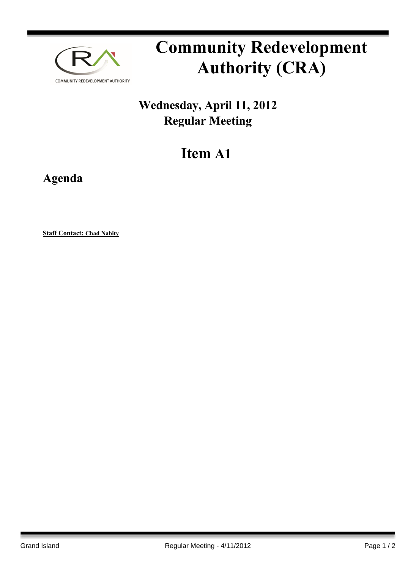

## **Community Redevelopment Authority (CRA)**

## **Wednesday, April 11, 2012 Regular Meeting**

## **Item A1**

**Agenda**

**Staff Contact: Chad Nabity**